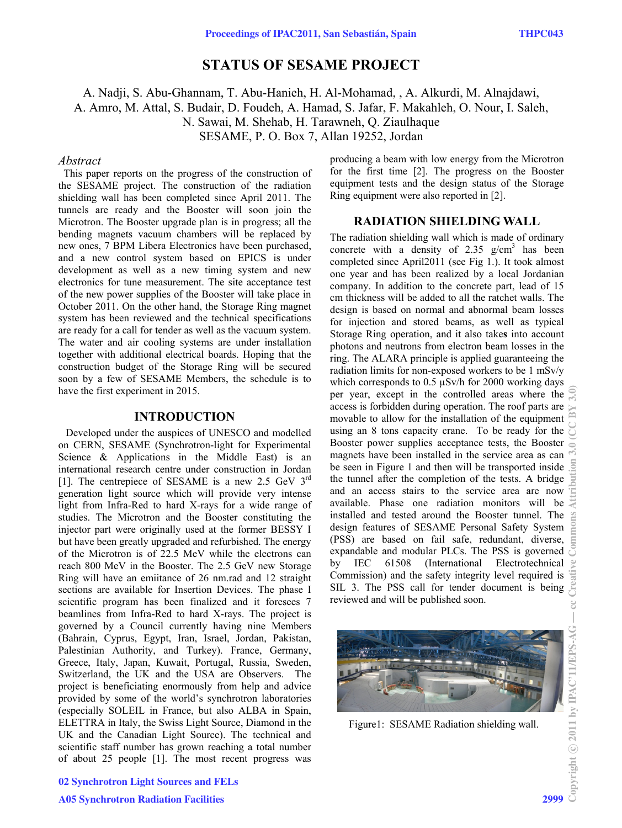# **STATUS OF SESAME PROJECT**

A. Nadji, S. Abu-Ghannam, T. Abu-Hanieh, H. Al-Mohamad, , A. Alkurdi, M. Alnajdawi, A. Amro, M. Attal, S. Budair, D. Foudeh, A. Hamad, S. Jafar, F. Makahleh, O. Nour, I. Saleh, N. Sawai, M. Shehab, H. Tarawneh, Q. Ziaulhaque SESAME, P. O. Box 7, Allan 19252, Jordan

#### *Abstract*

 This paper reports on the progress of the construction of the SESAME project. The construction of the radiation shielding wall has been completed since April 2011. The tunnels are ready and the Booster will soon join the Microtron. The Booster upgrade plan is in progress; all the bending magnets vacuum chambers will be replaced by new ones, 7 BPM Libera Electronics have been purchased, and a new control system based on EPICS is under development as well as a new timing system and new electronics for tune measurement. The site acceptance test of the new power supplies of the Booster will take place in October 2011. On the other hand, the Storage Ring magnet system has been reviewed and the technical specifications are ready for a call for tender as well as the vacuum system. The water and air cooling systems are under installation together with additional electrical boards. Hoping that the construction budget of the Storage Ring will be secured soon by a few of SESAME Members, the schedule is to have the first experiment in 2015.

### **INTRODUCTION**

Developed under the auspices of UNESCO and modelled on CERN, SESAME (Synchrotron-light for Experimental Science  $\&$  Applications in the Middle East) is an international research centre under construction in Jordan [1]. The centrepiece of SESAME is a new 2.5 GeV 3<sup>rd</sup> generation light source which will provide very intense light from Infra-Red to hard X-rays for a wide range of studies. The Microtron and the Booster constituting the injector part were originally used at the former BESSY I but have been greatly upgraded and refurbished. The energy of the Microtron is of 22.5 MeV while the electrons can reach 800 MeV in the Booster. The 2.5 GeV new Storage Ring will have an emiitance of 26 nm.rad and 12 straight sections are available for Insertion Devices. The phase I scientific program has been finalized and it foresees 7 beamlines from Infra-Red to hard X-rays. The project is governed by a Council currently having nine Members (Bahrain, Cyprus, Egypt, Iran, Israel, Jordan, Pakistan, Palestinian Authority, and Turkey). France, Germany, Greece, Italy, Japan, Kuwait, Portugal, Russia, Sweden, Switzerland, the UK and the USA are Observers. The project is beneficiating enormously from help and advice provided by some of the world's synchrotron laboratories (especially SOLEIL in France, but also ALBA in Spain, ELETTRA in Italy, the Swiss Light Source, Diamond in the UK and the Canadian Light Source). The technical and scientific staff number has grown reaching a total number of about 25 people [1]. The most recent progress was

producing a beam with low energy from the Microtron for the first time [2]. The progress on the Booster equipment tests and the design status of the Storage Ring equipment were also reported in [2].

## **RADIATION SHIELDING WALL**

The radiation shielding wall which is made of ordinary concrete with a density of  $2.35$  g/cm<sup>3</sup> has been completed since April2011 (see Fig 1.). It took almost one year and has been realized by a local Jordanian company. In addition to the concrete part, lead of 15 cm thickness will be added to all the ratchet walls. The design is based on normal and abnormal beam losses for injection and stored beams, as well as typical Storage Ring operation, and it also take**s** into account photons and neutrons from electron beam losses in the ring. The ALARA principle is applied guaranteeing the radiation limits for non-exposed workers to be 1 mSv/y which corresponds to 0.5  $\mu$ Sv/h for 2000 working days per year, except in the controlled areas where the access is forbidden during operation. The roof parts are movable to allow for the installation of the equipment using an 8 tons capacity crane. To be ready for the Booster power supplies acceptance tests, the Booster magnets have been installed in the service area as can be seen in Figure 1 and then will be transported inside the tunnel after the completion of the tests. A bridge and an access stairs to the service area are now available. Phase one radiation monitors will be installed and tested around the Booster tunnel. The design features of SESAME Personal Safety System (PSS) are based on fail safe, redundant, diverse, expandable and modular PLCs. The PSS is governed by IEC 61508 (International Electrotechnical Commission) and the safety integrity level required is SIL 3. The PSS call for tender document is being reviewed and will be published soon.



Figure1: SESAME Radiation shielding wall.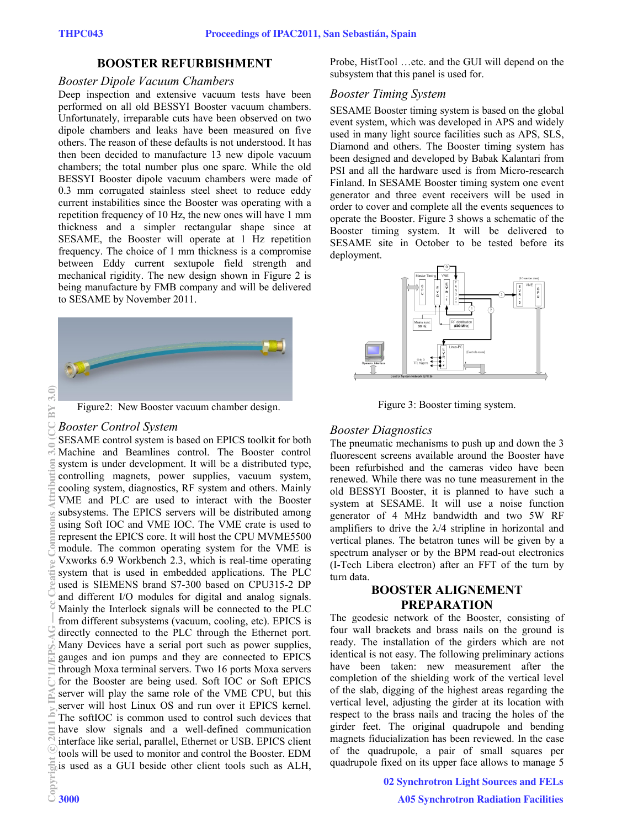### **BOOSTER REFURBISHMENT**

#### *Booster Dipole Vacuum Chambers*

Deep inspection and extensive vacuum tests have been performed on all old BESSYI Booster vacuum chambers. Unfortunately, irreparable cuts have been observed on two dipole chambers and leaks have been measured on five others. The reason of these defaults is not understood. It has then been decided to manufacture 13 new dipole vacuum chambers; the total number plus one spare. While the old BESSYI Booster dipole vacuum chambers were made of 0.3 mm corrugated stainless steel sheet to reduce eddy current instabilities since the Booster was operating with a repetition frequency of 10 Hz, the new ones will have 1 mm thickness and a simpler rectangular shape since at SESAME, the Booster will operate at 1 Hz repetition frequency. The choice of 1 mm thickness is a compromise between Eddy current sextupole field strength and mechanical rigidity. The new design shown in Figure 2 is being manufacture by FMB company and will be delivered to SESAME by November 2011.





### *Booster Control System*

SESAME control system is based on EPICS toolkit for both Machine and Beamlines control. The Booster control system is under development. It will be a distributed type, controlling magnets, power supplies, vacuum system, cooling system, diagnostics, RF system and others. Mainly VME and PLC are used to interact with the Booster subsystems. The EPICS servers will be distributed among using Soft IOC and VME IOC. The VME crate is used to represent the EPICS core. It will host the CPU MVME5500 module. The common operating system for the VME is Vxworks 6.9 Workbench 2.3, which is real-time operating system that is used in embedded applications. The PLC used is SIEMENS brand S7-300 based on CPU315-2 DP and different I/O modules for digital and analog signals. Mainly the Interlock signals will be connected to the PLC from different subsystems (vacuum, cooling, etc). EPICS is directly connected to the PLC through the Ethernet port. Many Devices have a serial port such as power supplies, gauges and ion pumps and they are connected to EPICS through Moxa terminal servers. Two 16 ports Moxa servers for the Booster are being used. Soft IOC or Soft EPICS server will play the same role of the VME CPU, but this server will host Linux OS and run over it EPICS kernel. The softIOC is common used to control such devices that have slow signals and a well-defined communication interface like serial, parallel, Ethernet or USB. EPICS client tools will be used to monitor and control the Booster. EDM is used as a GUI beside other client tools such as ALH,  $20212121$  by IPAC-11/EPS-AG — common attribution 3.0 (CC By 3.0 (CC V By 3.0) at the Common Section 3.0 (CC By 3.0) at the Common Section 3.0 (CC By 3.0) at the Common Section 3.0 (CC By 3.0) at the Common Section 3.0 (C

Probe, HistTool …etc. and the GUI will depend on the subsystem that this panel is used for.

### *Booster Timing System*

SESAME Booster timing system is based on the global event system, which was developed in APS and widely used in many light source facilities such as APS, SLS, Diamond and others. The Booster timing system has been designed and developed by Babak Kalantari from PSI and all the hardware used is from Micro-research Finland. In SESAME Booster timing system one event generator and three event receivers will be used in order to cover and complete all the events sequences to operate the Booster. Figure 3 shows a schematic of the Booster timing system. It will be delivered to SESAME site in October to be tested before its deployment.





## *Booster Diagnostics*

The pneumatic mechanisms to push up and down the 3 fluorescent screens available around the Booster have been refurbished and the cameras video have been renewed. While there was no tune measurement in the old BESSYI Booster, it is planned to have such a system at SESAME. It will use a noise function generator of 4 MHz bandwidth and two 5W RF amplifiers to drive the  $\lambda/4$  stripline in horizontal and vertical planes. The betatron tunes will be given by a spectrum analyser or by the BPM read-out electronics (I-Tech Libera electron) after an FFT of the turn by turn data.

## **BOOSTER ALIGNEMENT PREPARATION**

The geodesic network of the Booster, consisting of four wall brackets and brass nails on the ground is ready. The installation of the girders which are not identical is not easy. The following preliminary actions have been taken: new measurement after the completion of the shielding work of the vertical level of the slab, digging of the highest areas regarding the vertical level, adjusting the girder at its location with respect to the brass nails and tracing the holes of the girder feet. The original quadrupole and bending magnets fiducialization has been reviewed. In the case of the quadrupole, a pair of small squares per quadrupole fixed on its upper face allows to manage 5

> 02 Synchrotron Light Sources and FELs A05 Synchrotron Radiation Facilities